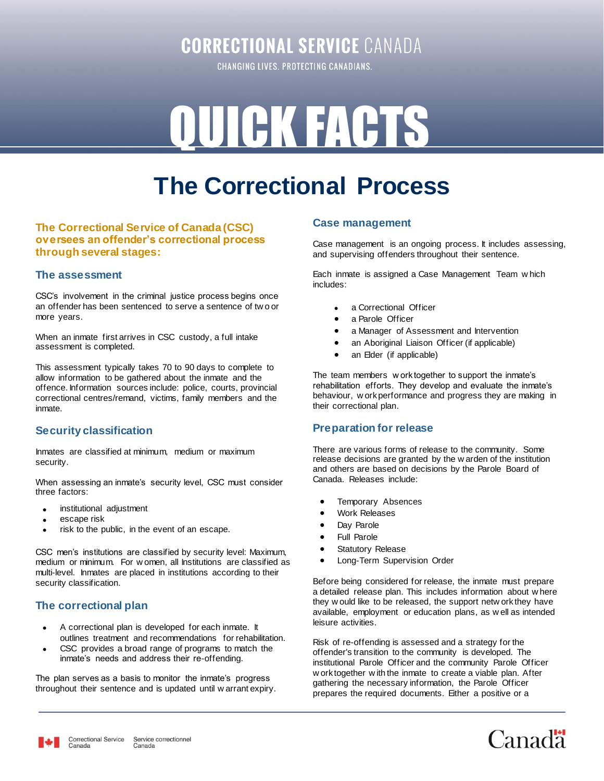### **CORRECTIONAL SERVICE CANADA**

CHANGING LIVES. PROTECTING CANADIANS.

# QUICK FACTS

## **The Correctional Process**

#### **The Correctional Service of Canada (CSC) oversees an offender's correctional process through several stages:**

#### **The assessment**

CSC's involvement in the criminal justice process begins once an offender has been sentenced to serve a sentence of tw o or more years.

When an inmate first arrives in CSC custody, a full intake assessment is completed.

This assessment typically takes 70 to 90 days to complete to allow information to be gathered about the inmate and the offence. Information sources include: police, courts, provincial correctional centres/remand, victims, family members and the inmate.

#### **Security classification**

Inmates are classified at minimum, medium or maximum security.

When assessing an inmate's security level, CSC must consider three factors:

- institutional adjustment
- escape risk
- risk to the public, in the event of an escape.

CSC men's institutions are classified by security level: Maximum, medium or minimum. For w omen, all Institutions are classified as multi-level. Inmates are placed in institutions according to their security classification.

#### **The correctional plan**

- A correctional plan is developed for each inmate. It outlines treatment and recommendations for rehabilitation.
- CSC provides a broad range of programs to match the inmate's needs and address their re-offending.

The plan serves as a basis to monitor the inmate's progress throughout their sentence and is updated until w arrant expiry.

#### **Case management**

Case management is an ongoing process. It includes assessing, and supervising offenders throughout their sentence.

Each inmate is assigned a Case Management Team w hich includes:

- a Correctional Officer
- a Parole Officer
- a Manager of Assessment and Intervention
- an Aboriginal Liaison Officer (if applicable)
- an Elder (if applicable)

The team members w ork together to support the inmate's rehabilitation efforts. They develop and evaluate the inmate's behaviour, w ork performance and progress they are making in their correctional plan.

#### **Preparation for release**

There are various forms of release to the community. Some release decisions are granted by the w arden of the institution and others are based on decisions by the Parole Board of Canada. Releases include:

- Temporary Absences
- Work Releases
- Day Parole
- Full Parole
- Statutory Release
- Long-Term Supervision Order

Before being considered for release, the inmate must prepare a detailed release plan. This includes information about w here they w ould like to be released, the support netw ork they have available, employment or education plans, as w ell as intended leisure activities.

Risk of re-offending is assessed and a strategy for the offender's transition to the community is developed. The institutional Parole Officer and the community Parole Officer w ork together w ith the inmate to create a viable plan. After gathering the necessary information, the Parole Officer prepares the required documents. Either a positive or a